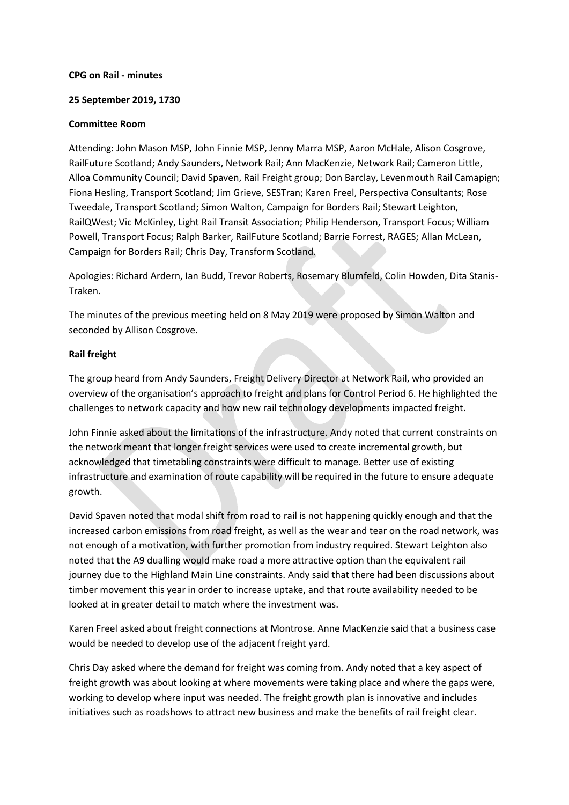### **CPG on Rail - minutes**

### **25 September 2019, 1730**

#### **Committee Room**

Attending: John Mason MSP, John Finnie MSP, Jenny Marra MSP, Aaron McHale, Alison Cosgrove, RailFuture Scotland; Andy Saunders, Network Rail; Ann MacKenzie, Network Rail; Cameron Little, Alloa Community Council; David Spaven, Rail Freight group; Don Barclay, Levenmouth Rail Camapign; Fiona Hesling, Transport Scotland; Jim Grieve, SESTran; Karen Freel, Perspectiva Consultants; Rose Tweedale, Transport Scotland; Simon Walton, Campaign for Borders Rail; Stewart Leighton, RailQWest; Vic McKinley, Light Rail Transit Association; Philip Henderson, Transport Focus; William Powell, Transport Focus; Ralph Barker, RailFuture Scotland; Barrie Forrest, RAGES; Allan McLean, Campaign for Borders Rail; Chris Day, Transform Scotland.

Apologies: Richard Ardern, Ian Budd, Trevor Roberts, Rosemary Blumfeld, Colin Howden, Dita Stanis-Traken.

The minutes of the previous meeting held on 8 May 2019 were proposed by Simon Walton and seconded by Allison Cosgrove.

## **Rail freight**

The group heard from Andy Saunders, Freight Delivery Director at Network Rail, who provided an overview of the organisation's approach to freight and plans for Control Period 6. He highlighted the challenges to network capacity and how new rail technology developments impacted freight.

John Finnie asked about the limitations of the infrastructure. Andy noted that current constraints on the network meant that longer freight services were used to create incremental growth, but acknowledged that timetabling constraints were difficult to manage. Better use of existing infrastructure and examination of route capability will be required in the future to ensure adequate growth.

David Spaven noted that modal shift from road to rail is not happening quickly enough and that the increased carbon emissions from road freight, as well as the wear and tear on the road network, was not enough of a motivation, with further promotion from industry required. Stewart Leighton also noted that the A9 dualling would make road a more attractive option than the equivalent rail journey due to the Highland Main Line constraints. Andy said that there had been discussions about timber movement this year in order to increase uptake, and that route availability needed to be looked at in greater detail to match where the investment was.

Karen Freel asked about freight connections at Montrose. Anne MacKenzie said that a business case would be needed to develop use of the adjacent freight yard.

Chris Day asked where the demand for freight was coming from. Andy noted that a key aspect of freight growth was about looking at where movements were taking place and where the gaps were, working to develop where input was needed. The freight growth plan is innovative and includes initiatives such as roadshows to attract new business and make the benefits of rail freight clear.